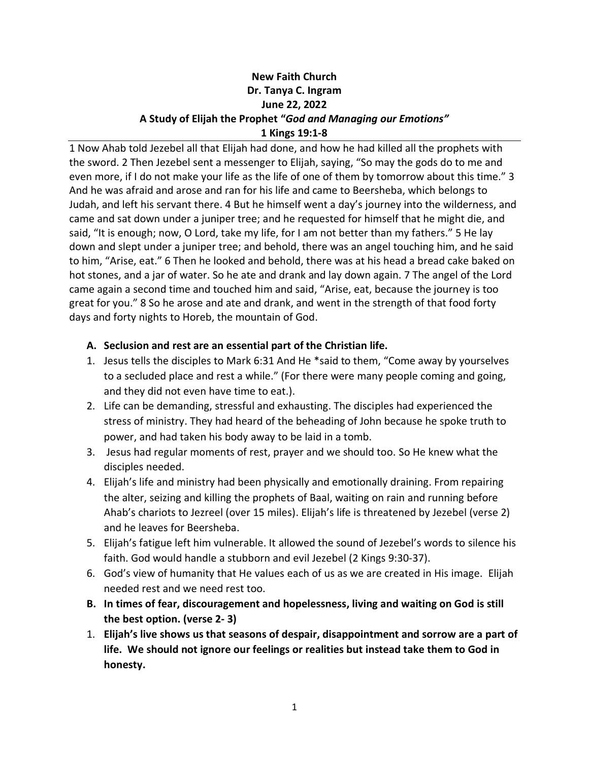## **New Faith Church Dr. Tanya C. Ingram June 22, 2022 A Study of Elijah the Prophet "***God and Managing our Emotions"* **1 Kings 19:1-8**

1 Now Ahab told Jezebel all that Elijah had done, and how he had killed all the prophets with the sword. 2 Then Jezebel sent a messenger to Elijah, saying, "So may the gods do to me and even more, if I do not make your life as the life of one of them by tomorrow about this time." 3 And he was afraid and arose and ran for his life and came to Beersheba, which belongs to Judah, and left his servant there. 4 But he himself went a day's journey into the wilderness, and came and sat down under a juniper tree; and he requested for himself that he might die, and said, "It is enough; now, O Lord, take my life, for I am not better than my fathers." 5 He lay down and slept under a juniper tree; and behold, there was an angel touching him, and he said to him, "Arise, eat." 6 Then he looked and behold, there was at his head a bread cake baked on hot stones, and a jar of water. So he ate and drank and lay down again. 7 The angel of the Lord came again a second time and touched him and said, "Arise, eat, because the journey is too great for you." 8 So he arose and ate and drank, and went in the strength of that food forty days and forty nights to Horeb, the mountain of God.

## **A. Seclusion and rest are an essential part of the Christian life.**

- 1. Jesus tells the disciples to Mark 6:31 And He \*said to them, "Come away by yourselves to a secluded place and rest a while." (For there were many people coming and going, and they did not even have time to eat.).
- 2. Life can be demanding, stressful and exhausting. The disciples had experienced the stress of ministry. They had heard of the beheading of John because he spoke truth to power, and had taken his body away to be laid in a tomb.
- 3. Jesus had regular moments of rest, prayer and we should too. So He knew what the disciples needed.
- 4. Elijah's life and ministry had been physically and emotionally draining. From repairing the alter, seizing and killing the prophets of Baal, waiting on rain and running before Ahab's chariots to Jezreel (over 15 miles). Elijah's life is threatened by Jezebel (verse 2) and he leaves for Beersheba.
- 5. Elijah's fatigue left him vulnerable. It allowed the sound of Jezebel's words to silence his faith. God would handle a stubborn and evil Jezebel (2 Kings 9:30-37).
- 6. God's view of humanity that He values each of us as we are created in His image. Elijah needed rest and we need rest too.
- **B. In times of fear, discouragement and hopelessness, living and waiting on God is still the best option. (verse 2- 3)**
- 1. **Elijah's live shows us that seasons of despair, disappointment and sorrow are a part of life. We should not ignore our feelings or realities but instead take them to God in honesty.**